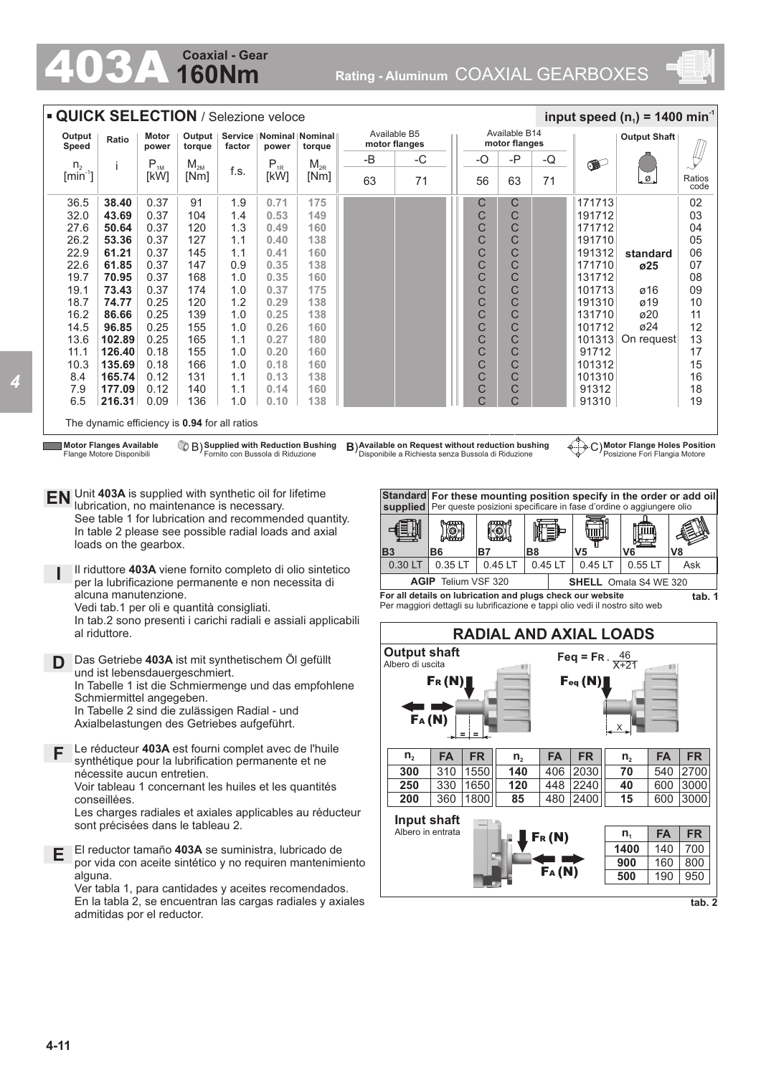## **160Nm Coaxial - Gear**

403A **Rating - Aluminum** COAXIAL GEARBOXES



|                                                                                                                                                                                                                                                                                                                                                                                                                                                                                                                                                                                                                                                                                                                                                                                                                                                                          | <b>QUICK SELECTION / Selezione veloce</b>                                                                                                                                                                                                                                                                                                                                                                                                                                                                                                                                                                                                                                                                                                     |                |                    |            |                                      |                                    |           |                                                                                                                                                                                                                                                                                         |                                  |                                                                                                         |                  |                                                                                                                                   | input speed $(n_1)$ = 1400 min <sup>-1</sup>                                                                                                                                                                                                    |                |
|--------------------------------------------------------------------------------------------------------------------------------------------------------------------------------------------------------------------------------------------------------------------------------------------------------------------------------------------------------------------------------------------------------------------------------------------------------------------------------------------------------------------------------------------------------------------------------------------------------------------------------------------------------------------------------------------------------------------------------------------------------------------------------------------------------------------------------------------------------------------------|-----------------------------------------------------------------------------------------------------------------------------------------------------------------------------------------------------------------------------------------------------------------------------------------------------------------------------------------------------------------------------------------------------------------------------------------------------------------------------------------------------------------------------------------------------------------------------------------------------------------------------------------------------------------------------------------------------------------------------------------------|----------------|--------------------|------------|--------------------------------------|------------------------------------|-----------|-----------------------------------------------------------------------------------------------------------------------------------------------------------------------------------------------------------------------------------------------------------------------------------------|----------------------------------|---------------------------------------------------------------------------------------------------------|------------------|-----------------------------------------------------------------------------------------------------------------------------------|-------------------------------------------------------------------------------------------------------------------------------------------------------------------------------------------------------------------------------------------------|----------------|
| Output<br>Speed                                                                                                                                                                                                                                                                                                                                                                                                                                                                                                                                                                                                                                                                                                                                                                                                                                                          | Ratio                                                                                                                                                                                                                                                                                                                                                                                                                                                                                                                                                                                                                                                                                                                                         | Motor<br>power | Output  <br>torque | factor     | Service   Nominal   Nominal<br>power | torque                             |           | Available B5<br>motor flanges                                                                                                                                                                                                                                                           |                                  | Available B14<br>motor flanges                                                                          |                  |                                                                                                                                   | <b>Output Shaft</b>                                                                                                                                                                                                                             |                |
| ${\sf n}_{\scriptscriptstyle 2}$                                                                                                                                                                                                                                                                                                                                                                                                                                                                                                                                                                                                                                                                                                                                                                                                                                         | j                                                                                                                                                                                                                                                                                                                                                                                                                                                                                                                                                                                                                                                                                                                                             | $P_{1M}$       | $M_{2M}$           |            | $P_{1R}$                             | $M_{2R}$                           | -B        | -C                                                                                                                                                                                                                                                                                      | -O                               | -P                                                                                                      | -Q               | d-                                                                                                                                |                                                                                                                                                                                                                                                 |                |
| $[min^{-1}]$                                                                                                                                                                                                                                                                                                                                                                                                                                                                                                                                                                                                                                                                                                                                                                                                                                                             |                                                                                                                                                                                                                                                                                                                                                                                                                                                                                                                                                                                                                                                                                                                                               | [kW]           | [Nm]               | f.s.       | [kW]                                 | [Nm]                               | 63        | 71                                                                                                                                                                                                                                                                                      | 56                               | 63                                                                                                      | 71               |                                                                                                                                   | Ø                                                                                                                                                                                                                                               | Ratios<br>code |
| 36.5<br>32.0                                                                                                                                                                                                                                                                                                                                                                                                                                                                                                                                                                                                                                                                                                                                                                                                                                                             | 38.40<br>43.69                                                                                                                                                                                                                                                                                                                                                                                                                                                                                                                                                                                                                                                                                                                                | 0.37<br>0.37   | 91<br>104          | 1.9<br>1.4 | 0.71<br>0.53                         | 175<br>149                         |           |                                                                                                                                                                                                                                                                                         | С<br>C                           | С<br>С                                                                                                  |                  | 171713<br>191712                                                                                                                  |                                                                                                                                                                                                                                                 | 02<br>03       |
| 27.6                                                                                                                                                                                                                                                                                                                                                                                                                                                                                                                                                                                                                                                                                                                                                                                                                                                                     | 50.64                                                                                                                                                                                                                                                                                                                                                                                                                                                                                                                                                                                                                                                                                                                                         | 0.37           | 120                | 1.3        | 0.49                                 | 160                                |           |                                                                                                                                                                                                                                                                                         | C                                | C                                                                                                       |                  | 171712                                                                                                                            |                                                                                                                                                                                                                                                 | 04             |
| 26.2                                                                                                                                                                                                                                                                                                                                                                                                                                                                                                                                                                                                                                                                                                                                                                                                                                                                     | 53.36                                                                                                                                                                                                                                                                                                                                                                                                                                                                                                                                                                                                                                                                                                                                         | 0.37           | 127                | 1.1        | 0.40                                 | 138                                |           |                                                                                                                                                                                                                                                                                         | C                                | С                                                                                                       |                  | 191710                                                                                                                            |                                                                                                                                                                                                                                                 | 05             |
| 22.9                                                                                                                                                                                                                                                                                                                                                                                                                                                                                                                                                                                                                                                                                                                                                                                                                                                                     | 61.21                                                                                                                                                                                                                                                                                                                                                                                                                                                                                                                                                                                                                                                                                                                                         | 0.37           | 145                | 1.1        | 0.41                                 | 160                                |           |                                                                                                                                                                                                                                                                                         | C                                | C                                                                                                       |                  | 191312                                                                                                                            | standard                                                                                                                                                                                                                                        | 06             |
| 22.6<br>19.7                                                                                                                                                                                                                                                                                                                                                                                                                                                                                                                                                                                                                                                                                                                                                                                                                                                             | 61.85<br>70.95                                                                                                                                                                                                                                                                                                                                                                                                                                                                                                                                                                                                                                                                                                                                | 0.37<br>0.37   | 147<br>168         | 0.9<br>1.0 | 0.35<br>0.35                         | 138<br>160                         |           |                                                                                                                                                                                                                                                                                         | C<br>C                           | C<br>С                                                                                                  |                  | 171710<br>131712                                                                                                                  | ø25                                                                                                                                                                                                                                             | 07<br>08       |
| 19.1                                                                                                                                                                                                                                                                                                                                                                                                                                                                                                                                                                                                                                                                                                                                                                                                                                                                     | 73.43                                                                                                                                                                                                                                                                                                                                                                                                                                                                                                                                                                                                                                                                                                                                         | 0.37           | 174                | 1.0        | 0.37                                 | 175                                |           |                                                                                                                                                                                                                                                                                         | C                                | С                                                                                                       |                  | 101713                                                                                                                            | ø16                                                                                                                                                                                                                                             | 09             |
| 18.7                                                                                                                                                                                                                                                                                                                                                                                                                                                                                                                                                                                                                                                                                                                                                                                                                                                                     | 74.77                                                                                                                                                                                                                                                                                                                                                                                                                                                                                                                                                                                                                                                                                                                                         | 0.25           | 120                | 1.2        | 0.29                                 | 138                                |           |                                                                                                                                                                                                                                                                                         | C                                | C                                                                                                       |                  | 191310                                                                                                                            | ø19                                                                                                                                                                                                                                             | 10             |
| 16.2                                                                                                                                                                                                                                                                                                                                                                                                                                                                                                                                                                                                                                                                                                                                                                                                                                                                     | 86.66                                                                                                                                                                                                                                                                                                                                                                                                                                                                                                                                                                                                                                                                                                                                         | 0.25           | 139                | 1.0        | 0.25                                 | 138                                |           |                                                                                                                                                                                                                                                                                         | C                                | С                                                                                                       |                  | 131710                                                                                                                            | ø20                                                                                                                                                                                                                                             | 11             |
| 14.5                                                                                                                                                                                                                                                                                                                                                                                                                                                                                                                                                                                                                                                                                                                                                                                                                                                                     | 96.85                                                                                                                                                                                                                                                                                                                                                                                                                                                                                                                                                                                                                                                                                                                                         | 0.25           | 155                | 1.0        | 0.26                                 | 160                                |           |                                                                                                                                                                                                                                                                                         | C                                | C                                                                                                       |                  | 101712                                                                                                                            | ø24                                                                                                                                                                                                                                             | 12             |
| 13.6                                                                                                                                                                                                                                                                                                                                                                                                                                                                                                                                                                                                                                                                                                                                                                                                                                                                     | 102.89                                                                                                                                                                                                                                                                                                                                                                                                                                                                                                                                                                                                                                                                                                                                        | 0.25           | 165                | 1.1        | 0.27                                 | 180                                |           |                                                                                                                                                                                                                                                                                         | C                                | С                                                                                                       |                  | 101313                                                                                                                            | On request                                                                                                                                                                                                                                      | 13             |
| 11.1<br>10.3                                                                                                                                                                                                                                                                                                                                                                                                                                                                                                                                                                                                                                                                                                                                                                                                                                                             | 126.40<br>135.69                                                                                                                                                                                                                                                                                                                                                                                                                                                                                                                                                                                                                                                                                                                              | 0.18<br>0.18   | 155<br>166         | 1.0<br>1.0 | 0.20<br>0.18                         | 160<br>160                         |           |                                                                                                                                                                                                                                                                                         | C<br>C                           | С<br>C                                                                                                  |                  | 91712<br>101312                                                                                                                   |                                                                                                                                                                                                                                                 | 17<br>15       |
| 8.4                                                                                                                                                                                                                                                                                                                                                                                                                                                                                                                                                                                                                                                                                                                                                                                                                                                                      | 165.74                                                                                                                                                                                                                                                                                                                                                                                                                                                                                                                                                                                                                                                                                                                                        | 0.12           | 131                | 1.1        | 0.13                                 | 138                                |           |                                                                                                                                                                                                                                                                                         | C                                | С                                                                                                       |                  | 101310                                                                                                                            |                                                                                                                                                                                                                                                 | 16             |
| 7.9                                                                                                                                                                                                                                                                                                                                                                                                                                                                                                                                                                                                                                                                                                                                                                                                                                                                      | 177.09                                                                                                                                                                                                                                                                                                                                                                                                                                                                                                                                                                                                                                                                                                                                        | 0.12           | 140                | 1.1        | 0.14                                 | 160                                |           |                                                                                                                                                                                                                                                                                         | C                                | С                                                                                                       |                  | 91312                                                                                                                             |                                                                                                                                                                                                                                                 | 18             |
| 6.5                                                                                                                                                                                                                                                                                                                                                                                                                                                                                                                                                                                                                                                                                                                                                                                                                                                                      | 216.31                                                                                                                                                                                                                                                                                                                                                                                                                                                                                                                                                                                                                                                                                                                                        | 0.09           | 136                | 1.0        | 0.10                                 | 138                                |           |                                                                                                                                                                                                                                                                                         | C                                | C                                                                                                       |                  | 91310                                                                                                                             |                                                                                                                                                                                                                                                 | 19             |
|                                                                                                                                                                                                                                                                                                                                                                                                                                                                                                                                                                                                                                                                                                                                                                                                                                                                          | The dynamic efficiency is 0.94 for all ratios                                                                                                                                                                                                                                                                                                                                                                                                                                                                                                                                                                                                                                                                                                 |                |                    |            |                                      | B) Supplied with Reduction Bushing |           | B) Available on Request without reduction bushing                                                                                                                                                                                                                                       |                                  |                                                                                                         |                  |                                                                                                                                   | C) Motor Flange Holes Position                                                                                                                                                                                                                  |                |
| EN Unit 403A is supplied with synthetic oil for lifetime<br>D                                                                                                                                                                                                                                                                                                                                                                                                                                                                                                                                                                                                                                                                                                                                                                                                            | lubrication, no maintenance is necessary.<br>See table 1 for lubrication and recommended quantity.<br>In table 2 please see possible radial loads and axial<br>loads on the gearbox.<br>Il riduttore 403A viene fornito completo di olio sintetico<br>per la lubrificazione permanente e non necessita di<br>alcuna manutenzione.<br>Vedi tab.1 per oli e quantità consigliati.<br>In tab.2 sono presenti i carichi radiali e assiali applicabili<br>al riduttore.<br>Das Getriebe 403A ist mit synthetischem Öl gefüllt<br>und ist lebensdauergeschmiert.<br>In Tabelle 1 ist die Schmiermenge und das empfohlene<br>Schmiermittel angegeben.<br>In Tabelle 2 sind die zulässigen Radial - und<br>Axialbelastungen des Getriebes aufgeführt. |                |                    |            |                                      |                                    | <b>B3</b> | Standard<br>supplied<br><b>IO</b><br>B <sub>6</sub><br>0.35 LT<br>0.30 LT<br>For all details on lubrication and plugs check our website<br>Per maggiori dettagli su lubrificazione e tappi olio vedi il nostro sito web<br><b>Output shaft</b><br>Albero di uscita<br>$F_R(N)$<br>FA(N) | B7<br><b>AGIP</b> Telium VSF 320 | $\begin{bmatrix} 0 \end{bmatrix}$<br>B <sub>8</sub><br>0.45 LT<br>$\left( \left  \right\rangle \right)$ | nd)<br>$0.45$ LT | ה הודות)<br>V5<br>0.45 LT<br><b>RADIAL AND AXIAL LOADS</b><br>Feq = FR. $\frac{46}{X+21}$<br>$\mathbf{F}_{\text{eq}}(\mathbf{N})$ | For these mounting position specify in the order or add oil<br>Per queste posizioni specificare in fase d'ordine o aggiungere olio<br>V8<br>V6<br>0.55L<br><b>SHELL</b> Omala S4 WE 320<br>$\left( \begin{array}{c} 0 \\ 0 \end{array} \right)$ | Ask<br>tab. 1  |
| Le réducteur 403A est fourni complet avec de l'huile<br>F<br>n <sub>2</sub><br><b>FA</b><br><b>FR</b><br>FA<br><b>FR</b><br>$n_{2}$<br>synthétique pour la lubrification permanente et ne<br>2030<br>310 1550<br>140<br>406<br>300<br>nécessite aucun entretien.<br>330 1650<br>448 2240<br>250<br>120<br>Voir tableau 1 concernant les huiles et les quantités<br>360 1800<br>85<br>480 2400<br>200<br>conseillées.<br>Les charges radiales et axiales applicables au réducteur<br>Input shaft<br>sont précisées dans le tableau 2.<br>Albero in entrata<br>$F_{R}(N)$<br>El reductor tamaño 403A se suministra, lubricado de<br>Е<br>por vida con aceite sintético y no requiren mantenimiento<br>FA(N)<br>alguna.<br>Ver tabla 1, para cantidades y aceites recomendados.<br>En la tabla 2, se encuentran las cargas radiales y axiales<br>admitidas por el reductor. |                                                                                                                                                                                                                                                                                                                                                                                                                                                                                                                                                                                                                                                                                                                                               |                |                    |            |                                      |                                    |           |                                                                                                                                                                                                                                                                                         |                                  |                                                                                                         |                  | <b>FA</b><br>$n_{2}$<br>70<br>540<br>40<br>600<br>15<br>600<br><b>FA</b><br>$n_{1}$<br>140<br>1400<br>160<br>900<br>500<br>190    | <b>FR</b><br>2700<br>3000<br>3000<br><b>FR</b><br>700<br>800<br>950<br>tab. 2                                                                                                                                                                   |                |

*4*